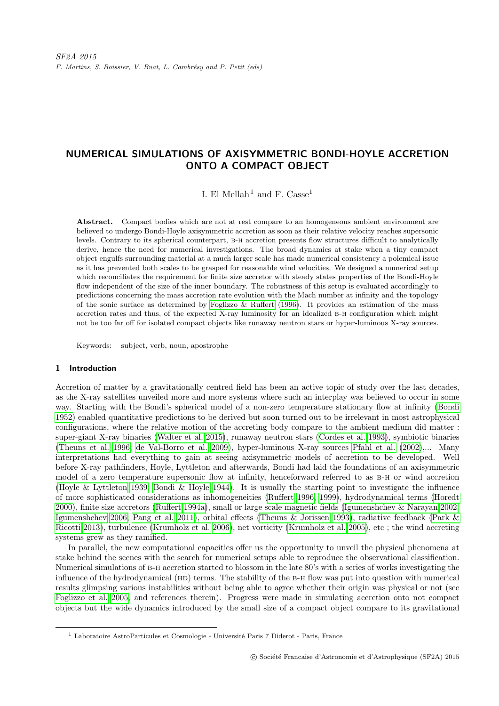# NUMERICAL SIMULATIONS OF AXISYMMETRIC BONDI-HOYLE ACCRETION ONTO A COMPACT OBJECT

I. El Mellah<sup>1</sup> and F. Casse<sup>1</sup>

Abstract. Compact bodies which are not at rest compare to an homogeneous ambient environment are believed to undergo Bondi-Hoyle axisymmetric accretion as soon as their relative velocity reaches supersonic levels. Contrary to its spherical counterpart, b-h accretion presents flow structures difficult to analytically derive, hence the need for numerical investigations. The broad dynamics at stake when a tiny compact object engulfs surrounding material at a much larger scale has made numerical consistency a polemical issue as it has prevented both scales to be grasped for reasonable wind velocities. We designed a numerical setup which reconciliates the requirement for finite size accretor with steady states properties of the Bondi-Hoyle flow independent of the size of the inner boundary. The robustness of this setup is evaluated accordingly to predictions concerning the mass accretion rate evolution with the Mach number at infinity and the topology of the sonic surface as determined by Foglizzo  $&$  Ruffert [\(1996\)](#page-6-0). It provides an estimation of the mass accretion rates and thus, of the expected X-ray luminosity for an idealized b-h configuration which might not be too far off for isolated compact objects like runaway neutron stars or hyper-luminous X-ray sources.

Keywords: subject, verb, noun, apostrophe

#### 1 Introduction

Accretion of matter by a gravitationally centred field has been an active topic of study over the last decades, as the X-ray satellites unveiled more and more systems where such an interplay was believed to occur in some way. Starting with the Bondi's spherical model of a non-zero temperature stationary flow at infinity [\(Bondi](#page-6-1) [1952\)](#page-6-1) enabled quantitative predictions to be derived but soon turned out to be irrelevant in most astrophysical configurations, where the relative motion of the accreting body compare to the ambient medium did matter : super-giant X-ray binaries [\(Walter et al. 2015\)](#page-6-2), runaway neutron stars [\(Cordes et al. 1993\)](#page-6-3), symbiotic binaries [\(Theuns et al. 1996;](#page-6-4) [de Val-Borro et al. 2009\)](#page-6-5), hyper-luminous X-ray sources [Pfahl et al. \(2002\)](#page-6-6),... Many interpretations had everything to gain at seeing axisymmetric models of accretion to be developed. Well before X-ray pathfinders, Hoyle, Lyttleton and afterwards, Bondi had laid the foundations of an axisymmetric model of a zero temperature supersonic flow at infinity, henceforward referred to as b-h or wind accretion [\(Hoyle & Lyttleton 1939;](#page-6-7) [Bondi & Hoyle 1944\)](#page-6-8). It is usually the starting point to investigate the influence of more sophisticated considerations as inhomogeneities [\(Ruffert 1996,](#page-6-9) [1999\)](#page-6-10), hydrodynamical terms [\(Horedt](#page-6-11) [2000\)](#page-6-11), finite size accretors [\(Ruffert 1994a\)](#page-6-12), small or large scale magnetic fields [\(Igumenshchev & Narayan 2002;](#page-6-13) [Igumenshchev 2006;](#page-6-14) [Pang et al. 2011\)](#page-6-15), orbital effects [\(Theuns & Jorissen 1993\)](#page-6-16), radiative feedback [\(Park &](#page-6-17) [Ricotti 2013\)](#page-6-17), turbulence [\(Krumholz et al. 2006\)](#page-6-18), net vorticity [\(Krumholz et al. 2005\)](#page-6-19), etc ; the wind accreting systems grew as they ramified.

In parallel, the new computational capacities offer us the opportunity to unveil the physical phenomena at stake behind the scenes with the search for numerical setups able to reproduce the observational classification. Numerical simulations of b-h accretion started to blossom in the late 80's with a series of works investigating the influence of the hydrodynamical (HD) terms. The stability of the B-H flow was put into question with numerical results glimpsing various instabilities without being able to agree whether their origin was physical or not (see [Foglizzo et al. 2005,](#page-6-20) and references therein). Progress were made in simulating accretion onto not compact objects but the wide dynamics introduced by the small size of a compact object compare to its gravitational

<sup>&</sup>lt;sup>1</sup> Laboratoire AstroParticules et Cosmologie - Université Paris 7 Diderot - Paris, France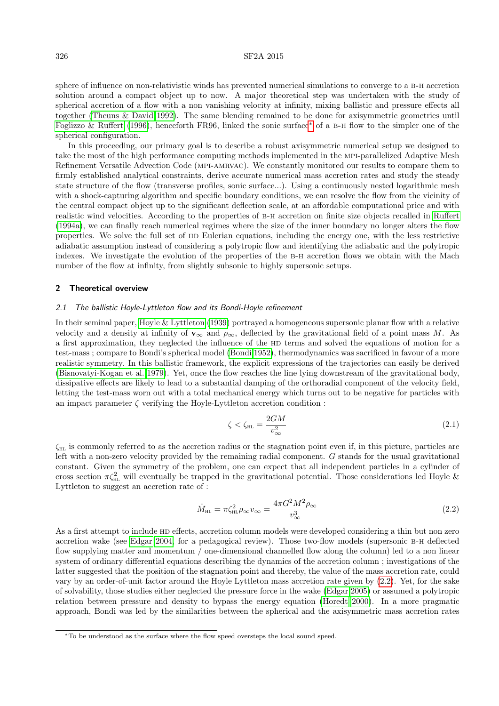## 326 SF2A 2015

sphere of influence on non-relativistic winds has prevented numerical simulations to converge to a b-h accretion solution around a compact object up to now. A major theoretical step was undertaken with the study of spherical accretion of a flow with a non vanishing velocity at infinity, mixing ballistic and pressure effects all together [\(Theuns & David 1992\)](#page-6-21). The same blending remained to be done for axisymmetric geometries until [Foglizzo & Ruffert \(1996\)](#page-6-0), henceforth FR96, linked the sonic surface[∗](#page-1-0) of a b-h flow to the simpler one of the spherical configuration.

In this proceeding, our primary goal is to describe a robust axisymmetric numerical setup we designed to take the most of the high performance computing methods implemented in the mpi-parallelized Adaptive Mesh Refinement Versatile Advection Code (mpi-amrvac). We constantly monitored our results to compare them to firmly established analytical constraints, derive accurate numerical mass accretion rates and study the steady state structure of the flow (transverse profiles, sonic surface...). Using a continuously nested logarithmic mesh with a shock-capturing algorithm and specific boundary conditions, we can resolve the flow from the vicinity of the central compact object up to the significant deflection scale, at an affordable computational price and with realistic wind velocities. According to the properties of b-h accretion on finite size objects recalled in [Ruffert](#page-6-12) [\(1994a\)](#page-6-12), we can finally reach numerical regimes where the size of the inner boundary no longer alters the flow properties. We solve the full set of hd Eulerian equations, including the energy one, with the less restrictive adiabatic assumption instead of considering a polytropic flow and identifying the adiabatic and the polytropic indexes. We investigate the evolution of the properties of the B-H accretion flows we obtain with the Mach number of the flow at infinity, from slightly subsonic to highly supersonic setups.

## 2 Theoretical overview

### 2.1 The ballistic Hoyle-Lyttleton flow and its Bondi-Hoyle refinement

In their seminal paper, [Hoyle & Lyttleton \(1939\)](#page-6-7) portrayed a homogeneous supersonic planar flow with a relative velocity and a density at infinity of  $\mathbf{v}_{\infty}$  and  $\rho_{\infty}$ , deflected by the gravitational field of a point mass M. As a first approximation, they neglected the influence of the HD terms and solved the equations of motion for a test-mass ; compare to Bondi's spherical model [\(Bondi 1952\)](#page-6-1), thermodynamics was sacrificed in favour of a more realistic symmetry. In this ballistic framework, the explicit expressions of the trajectories can easily be derived [\(Bisnovatyi-Kogan et al. 1979\)](#page-6-22). Yet, once the flow reaches the line lying downstream of the gravitational body, dissipative effects are likely to lead to a substantial damping of the orthoradial component of the velocity field, letting the test-mass worn out with a total mechanical energy which turns out to be negative for particles with an impact parameter  $\zeta$  verifying the Hoyle-Lyttleton accretion condition :

$$
\zeta < \zeta_{\rm HL} = \frac{2GM}{v_{\infty}^2} \tag{2.1}
$$

 $\zeta_{HL}$  is commonly referred to as the accretion radius or the stagnation point even if, in this picture, particles are left with a non-zero velocity provided by the remaining radial component. G stands for the usual gravitational constant. Given the symmetry of the problem, one can expect that all independent particles in a cylinder of cross section  $\pi \zeta_{\text{HL}}^2$  will eventually be trapped in the gravitational potential. Those considerations led Hoyle & Lyttleton to suggest an accretion rate of :

<span id="page-1-1"></span>
$$
\dot{M}_{\text{HL}} = \pi \zeta_{\text{HL}}^2 \rho_{\infty} v_{\infty} = \frac{4\pi G^2 M^2 \rho_{\infty}}{v_{\infty}^3}
$$
\n(2.2)

As a first attempt to include HD effects, accretion column models were developed considering a thin but non zero accretion wake (see [Edgar 2004,](#page-6-23) for a pedagogical review). Those two-flow models (supersonic b-h deflected flow supplying matter and momentum / one-dimensional channelled flow along the column) led to a non linear system of ordinary differential equations describing the dynamics of the accretion column ; investigations of the latter suggested that the position of the stagnation point and thereby, the value of the mass accretion rate, could vary by an order-of-unit factor around the Hoyle Lyttleton mass accretion rate given by [\(2.2\)](#page-1-1). Yet, for the sake of solvability, those studies either neglected the pressure force in the wake [\(Edgar 2005\)](#page-6-24) or assumed a polytropic relation between pressure and density to bypass the energy equation [\(Horedt 2000\)](#page-6-11). In a more pragmatic approach, Bondi was led by the similarities between the spherical and the axisymmetric mass accretion rates

<span id="page-1-0"></span><sup>∗</sup>To be understood as the surface where the flow speed oversteps the local sound speed.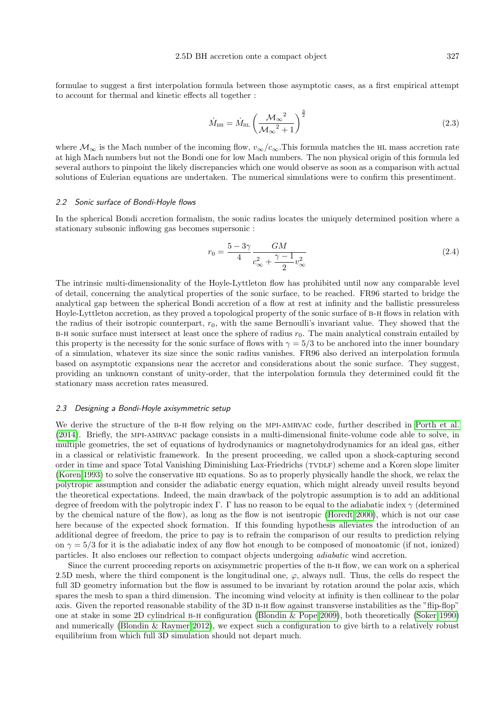formulae to suggest a first interpolation formula between those asymptotic cases, as a first empirical attempt to account for thermal and kinetic effects all together :

<span id="page-2-0"></span>
$$
\dot{M}_{\text{BH}} = \dot{M}_{\text{HL}} \left( \frac{\mathcal{M}_{\infty}^2}{\mathcal{M}_{\infty}^2 + 1} \right)^{\frac{3}{2}}
$$
\n(2.3)

where  $\mathcal{M}_{\infty}$  is the Mach number of the incoming flow,  $v_{\infty}/c_{\infty}$ . This formula matches the HL mass accretion rate at high Mach numbers but not the Bondi one for low Mach numbers. The non physical origin of this formula led several authors to pinpoint the likely discrepancies which one would observe as soon as a comparison with actual solutions of Eulerian equations are undertaken. The numerical simulations were to confirm this presentiment.

## 2.2 Sonic surface of Bondi-Hoyle flows

In the spherical Bondi accretion formalism, the sonic radius locates the uniquely determined position where a stationary subsonic inflowing gas becomes supersonic :

$$
r_0 = \frac{5 - 3\gamma}{4} \frac{GM}{c_{\infty}^2 + \frac{\gamma - 1}{2}v_{\infty}^2}
$$
 (2.4)

The intrinsic multi-dimensionality of the Hoyle-Lyttleton flow has prohibited until now any comparable level of detail, concerning the analytical properties of the sonic surface, to be reached. FR96 started to bridge the analytical gap between the spherical Bondi accretion of a flow at rest at infinity and the ballistic pressureless Hoyle-Lyttleton accretion, as they proved a topological property of the sonic surface of b-h flows in relation with the radius of their isotropic counterpart,  $r_0$ , with the same Bernoulli's invariant value. They showed that the B-H sonic surface must intersect at least once the sphere of radius  $r_0$ . The main analytical constrain entailed by this property is the necessity for the sonic surface of flows with  $\gamma = 5/3$  to be anchored into the inner boundary of a simulation, whatever its size since the sonic radius vanishes. FR96 also derived an interpolation formula based on asymptotic expansions near the accretor and considerations about the sonic surface. They suggest, providing an unknown constant of unity-order, that the interpolation formula they determined could fit the stationary mass accretion rates measured.

#### 2.3 Designing a Bondi-Hoyle axisymmetric setup

We derive the structure of the B-H flow relying on the MPI-AMRVAC code, further described in [Porth et al.](#page-6-25) [\(2014\)](#page-6-25). Briefly, the mpi-amrvac package consists in a multi-dimensional finite-volume code able to solve, in multiple geometries, the set of equations of hydrodynamics or magnetohydrodynamics for an ideal gas, either in a classical or relativistic framework. In the present proceeding, we called upon a shock-capturing second order in time and space Total Vanishing Diminishing Lax-Friedrichs (TVDLF) scheme and a Koren slope limiter [\(Koren 1993\)](#page-6-26) to solve the conservative HD equations. So as to properly physically handle the shock, we relax the polytropic assumption and consider the adiabatic energy equation, which might already unveil results beyond the theoretical expectations. Indeed, the main drawback of the polytropic assumption is to add an additional degree of freedom with the polytropic index Γ. Γ has no reason to be equal to the adiabatic index  $\gamma$  (determined by the chemical nature of the flow), as long as the flow is not isentropic [\(Horedt 2000\)](#page-6-11), which is not our case here because of the expected shock formation. If this founding hypothesis alleviates the introduction of an additional degree of freedom, the price to pay is to refrain the comparison of our results to prediction relying on  $\gamma = 5/3$  for it is the adiabatic index of any flow hot enough to be composed of monoatomic (if not, ionized) particles. It also encloses our reflection to compact objects undergoing adiabatic wind accretion.

Since the current proceeding reports on axisymmetric properties of the B-H flow, we can work on a spherical 2.5D mesh, where the third component is the longitudinal one,  $\varphi$ , always null. Thus, the cells do respect the full 3D geometry information but the flow is assumed to be invariant by rotation around the polar axis, which spares the mesh to span a third dimension. The incoming wind velocity at infinity is then collinear to the polar axis. Given the reported reasonable stability of the 3D B-H flow against transverse instabilities as the "flip-flop" one at stake in some 2D cylindrical b-h configuration [\(Blondin & Pope 2009\)](#page-6-27), both theoretically [\(Soker 1990\)](#page-6-28) and numerically [\(Blondin & Raymer 2012\)](#page-6-29), we expect such a configuration to give birth to a relatively robust equilibrium from which full 3D simulation should not depart much.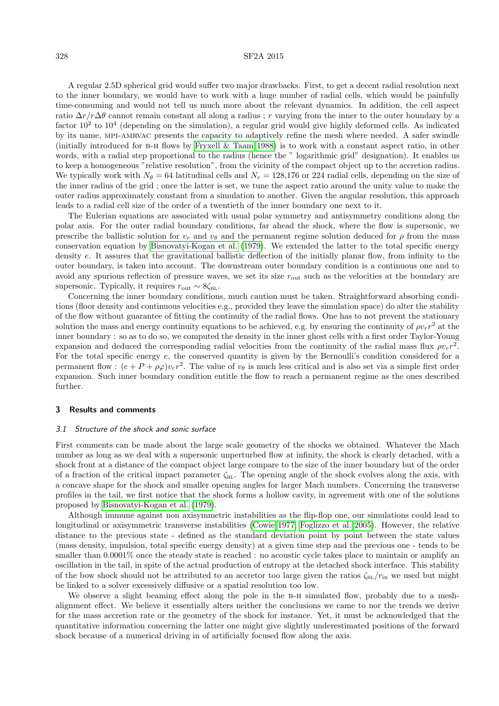## 328 SF2A 2015

A regular 2.5D spherical grid would suffer two major drawbacks. First, to get a decent radial resolution next to the inner boundary, we would have to work with a huge number of radial cells, which would be painfully time-consuming and would not tell us much more about the relevant dynamics. In addition, the cell aspect ratio  $\Delta r/r\Delta\theta$  cannot remain constant all along a radius ; r varying from the inner to the outer boundary by a factor  $10^2$  to  $10^4$  (depending on the simulation), a regular grid would give highly deformed cells. As indicated by its name, mpi-amrvac presents the capacity to adaptively refine the mesh where needed. A safer swindle (initially introduced for b-h flows by [Fryxell & Taam 1988\)](#page-6-30) is to work with a constant aspect ratio, in other words, with a radial step proportional to the radius (hence the " logarithmic grid" designation). It enables us to keep a homogeneous "relative resolution", from the vicinity of the compact object up to the accretion radius. We typically work with  $N_{\theta} = 64$  latitudinal cells and  $N_r = 128,176$  or 224 radial cells, depending on the size of the inner radius of the grid ; once the latter is set, we tune the aspect ratio around the unity value to make the outer radius approximately constant from a simulation to another. Given the angular resolution, this approach leads to a radial cell size of the order of a twentieth of the inner boundary one next to it.

The Eulerian equations are associated with usual polar symmetry and antisymmetry conditions along the polar axis. For the outer radial boundary conditions, far ahead the shock, where the flow is supersonic, we prescribe the ballistic solution for  $v_r$  and  $v_\theta$  and the permanent regime solution deduced for  $\rho$  from the mass conservation equation by [Bisnovatyi-Kogan et al. \(1979\)](#page-6-22). We extended the latter to the total specific energy density e. It assures that the gravitational ballistic deflection of the initially planar flow, from infinity to the outer boundary, is taken into account. The downstream outer boundary condition is a continuous one and to avoid any spurious reflection of pressure waves, we set its size  $r_{\text{out}}$  such as the velocities at the boundary are supersonic. Typically, it requires  $r_{\text{out}} \sim 8 \zeta_{\text{HL}}$ .

Concerning the inner boundary conditions, much caution must be taken. Straightforward absorbing conditions (floor density and continuous velocities e.g., provided they leave the simulation space) do alter the stability of the flow without guarantee of fitting the continuity of the radial flows. One has to not prevent the stationary solution the mass and energy continuity equations to be achieved, e.g. by ensuring the continuity of  $\rho v_r r^2$  at the inner boundary : so as to do so, we computed the density in the inner ghost cells with a first order Taylor-Young expansion and deduced the corresponding radial velocities from the continuity of the radial mass flux  $\rho v_r r^2$ . For the total specific energy e, the conserved quantity is given by the Bernoulli's condition considered for a permanent flow:  $(e + P + \rho \varphi)v_r r^2$ . The value of  $v_\theta$  is much less critical and is also set via a simple first order expansion. Such inner boundary condition entitle the flow to reach a permanent regime as the ones described further.

## 3 Results and comments

#### 3.1 Structure of the shock and sonic surface

First comments can be made about the large scale geometry of the shocks we obtained. Whatever the Mach number as long as we deal with a supersonic unperturbed flow at infinity, the shock is clearly detached, with a shock front at a distance of the compact object large compare to the size of the inner boundary but of the order of a fraction of the critical impact parameter  $\zeta_{HL}$ . The opening angle of the shock evolves along the axis, with a concave shape for the shock and smaller opening angles for larger Mach numbers. Concerning the transverse profiles in the tail, we first notice that the shock forms a hollow cavity, in agreement with one of the solutions proposed by [Bisnovatyi-Kogan et al. \(1979\)](#page-6-22).

Although immune against non axisymmetric instabilities as the flip-flop one, our simulations could lead to longitudinal or axisymmetric transverse instabilities [\(Cowie 1977;](#page-6-31) [Foglizzo et al. 2005\)](#page-6-20). However, the relative distance to the previous state - defined as the standard deviation point by point between the state values (mass density, impulsion, total specific energy density) at a given time step and the previous one - tends to be smaller than  $0.0001\%$  once the steady state is reached : no acoustic cycle takes place to maintain or amplify an oscillation in the tail, in spite of the actual production of entropy at the detached shock interface. This stability of the bow shock should not be attributed to an accretor too large given the ratios  $\zeta_{\text{HL}}/r_{\text{in}}$  we used but might be linked to a solver excessively diffusive or a spatial resolution too low.

We observe a slight beaming effect along the pole in the B-H simulated flow, probably due to a meshalignment effect. We believe it essentially alters neither the conclusions we came to nor the trends we derive for the mass accretion rate or the geometry of the shock for instance. Yet, it must be acknowledged that the quantitative information concerning the latter one might give slightly underestimated positions of the forward shock because of a numerical driving in of artificially focused flow along the axis.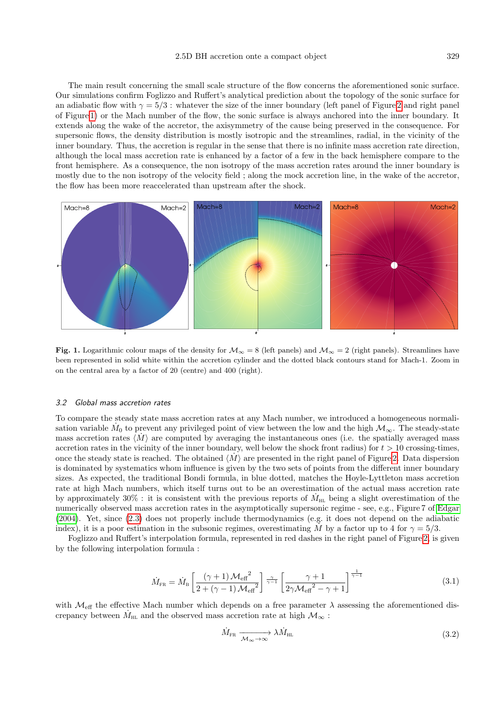The main result concerning the small scale structure of the flow concerns the aforementioned sonic surface. Our simulations confirm Foglizzo and Ruffert's analytical prediction about the topology of the sonic surface for an adiabatic flow with  $\gamma = 5/3$ : whatever the size of the inner boundary (left panel of Figure [2](#page-5-0) and right panel of Figure [1\)](#page-4-0) or the Mach number of the flow, the sonic surface is always anchored into the inner boundary. It extends along the wake of the accretor, the axisymmetry of the cause being preserved in the consequence. For supersonic flows, the density distribution is mostly isotropic and the streamlines, radial, in the vicinity of the inner boundary. Thus, the accretion is regular in the sense that there is no infinite mass accretion rate direction, although the local mass accretion rate is enhanced by a factor of a few in the back hemisphere compare to the front hemisphere. As a consequence, the non isotropy of the mass accretion rates around the inner boundary is mostly due to the non isotropy of the velocity field ; along the mock accretion line, in the wake of the accretor, the flow has been more reaccelerated than upstream after the shock.



<span id="page-4-0"></span>Fig. 1. Logarithmic colour maps of the density for  $\mathcal{M}_{\infty} = 8$  (left panels) and  $\mathcal{M}_{\infty} = 2$  (right panels). Streamlines have been represented in solid white within the accretion cylinder and the dotted black contours stand for Mach-1. Zoom in on the central area by a factor of 20 (centre) and 400 (right).

## 3.2 Global mass accretion rates

To compare the steady state mass accretion rates at any Mach number, we introduced a homogeneous normalisation variable  $\dot{M}_0$  to prevent any privileged point of view between the low and the high  $\mathcal{M}_{\infty}$ . The steady-state mass accretion rates  $\langle M \rangle$  are computed by averaging the instantaneous ones (i.e. the spatially averaged mass accretion rates in the vicinity of the inner boundary, well below the shock front radius) for  $t > 10$  crossing-times, once the steady state is reached. The obtained  $\langle M \rangle$  are presented in the right panel of Figure [2.](#page-5-0) Data dispersion is dominated by systematics whom influence is given by the two sets of points from the different inner boundary sizes. As expected, the traditional Bondi formula, in blue dotted, matches the Hoyle-Lyttleton mass accretion rate at high Mach numbers, which itself turns out to be an overestimation of the actual mass accretion rate by approximately 30%: it is consistent with the previous reports of  $\dot{M}_{HL}$  being a slight overestimation of the numerically observed mass accretion rates in the asymptotically supersonic regime - see, e.g., Figure 7 of [Edgar](#page-6-23) [\(2004\)](#page-6-23). Yet, since [\(2.3\)](#page-2-0) does not properly include thermodynamics (e.g. it does not depend on the adiabatic index), it is a poor estimation in the subsonic regimes, overestimating M by a factor up to 4 for  $\gamma = 5/3$ .

<span id="page-4-1"></span>Foglizzo and Ruffert's interpolation formula, represented in red dashes in the right panel of Figure [2,](#page-5-0) is given by the following interpolation formula :

$$
\dot{M}_{\rm FR} = \dot{M}_{\rm B} \left[ \frac{(\gamma + 1) \mathcal{M}_{\rm eff}^2}{2 + (\gamma - 1) \mathcal{M}_{\rm eff}^2} \right] \frac{\gamma}{\gamma - 1} \left[ \frac{\gamma + 1}{2\gamma \mathcal{M}_{\rm eff}^2 - \gamma + 1} \right]^{\frac{1}{\gamma - 1}} \tag{3.1}
$$

with  $\mathcal{M}_{\text{eff}}$  the effective Mach number which depends on a free parameter  $\lambda$  assessing the aforementioned discrepancy between  $\dot{M}_{\rm HL}$  and the observed mass accretion rate at high  $\mathcal{M}_{\infty}$ :

$$
\dot{M}_{\rm FR} \xrightarrow{\mathcal{M}_{\infty} \to \infty} \lambda \dot{M}_{\rm HL} \tag{3.2}
$$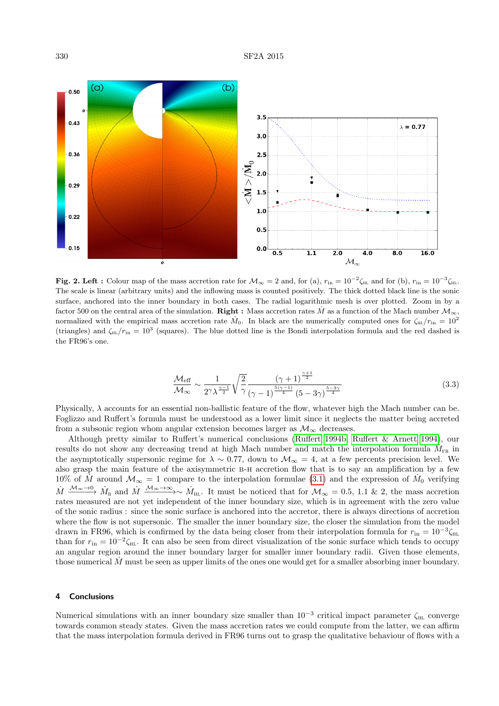

<span id="page-5-0"></span>Fig. 2. Left : Colour map of the mass accretion rate for  $\mathcal{M}_{\infty} = 2$  and, for (a),  $r_{\rm in} = 10^{-2} \zeta_{\rm HI}$  and for (b),  $r_{\rm in} = 10^{-3} \zeta_{\rm HI}$ . The scale is linear (arbitrary units) and the inflowing mass is counted positively. The thick dotted black line is the sonic surface, anchored into the inner boundary in both cases. The radial logarithmic mesh is over plotted. Zoom in by a factor 500 on the central area of the simulation. **Right :** Mass accretion rates M as a function of the Mach number  $\mathcal{M}_{\infty}$ , normalized with the empirical mass accretion rate  $\dot{M}_0$ . In black are the numerically computed ones for  $\zeta_{\rm HL}/r_{\rm in} = 10^2$ (triangles) and  $\zeta_{\rm{fil}}/r_{\rm{in}} = 10^3$  (squares). The blue dotted line is the Bondi interpolation formula and the red dashed is the FR96's one.

$$
\frac{\mathcal{M}_{\text{eff}}}{\mathcal{M}_{\infty}} \sim \frac{1}{2^{\gamma} \lambda^{\frac{\gamma-1}{2}}} \sqrt{\frac{2}{\gamma}} \frac{(\gamma+1)^{\frac{\gamma+1}{2}}}{(\gamma-1)^{\frac{5(\gamma-1)}{4}} (5-3\gamma)^{\frac{5-3\gamma}{4}}}
$$
(3.3)

Physically,  $\lambda$  accounts for an essential non-ballistic feature of the flow, whatever high the Mach number can be. Foglizzo and Ruffert's formula must be understood as a lower limit since it neglects the matter being accreted from a subsonic region whom angular extension becomes larger as  $\mathcal{M}_{\infty}$  decreases.

Although pretty similar to Ruffert's numerical conclusions [\(Ruffert 1994b;](#page-6-32) [Ruffert & Arnett 1994\)](#page-6-33), our results do not show any decreasing trend at high Mach number and match the interpolation formula  $\hat{M}_{FR}$  in the asymptotically supersonic regime for  $\lambda \sim 0.77$ , down to  $\mathcal{M}_{\infty} = 4$ , at a few percents precision level. We also grasp the main feature of the axisymmetric b-h accretion flow that is to say an amplification by a few 10% of M around  $\mathcal{M}_{\infty} = 1$  compare to the interpolation formulae [\(3.1\)](#page-4-1) and the expression of  $\dot{M}_0$  verifying  $\dot{M} \xrightarrow{\mathcal{M}_{\infty}\to 0} \dot{M}_{\rm B}$  and  $\dot{M} \xrightarrow{\mathcal{M}_{\infty}\to \infty} \dot{M}_{\rm HL}$ . It must be noticed that for  $\mathcal{M}_{\infty} = 0.5, 1.1$  & 2, the mass accretion rates measured are not yet independent of the inner boundary size, which is in agreement with the zero value of the sonic radius : since the sonic surface is anchored into the accretor, there is always directions of accretion where the flow is not supersonic. The smaller the inner boundary size, the closer the simulation from the model drawn in FR96, which is confirmed by the data being closer from their interpolation formula for  $r_{\rm in} = 10^{-3} \zeta_{\rm HI}$ than for  $r_{\rm in} = 10^{-2} \zeta_{\rm HL}$ . It can also be seen from direct visualization of the sonic surface which tends to occupy an angular region around the inner boundary larger for smaller inner boundary radii. Given those elements, those numerical  $M$  must be seen as upper limits of the ones one would get for a smaller absorbing inner boundary.

#### 4 Conclusions

Numerical simulations with an inner boundary size smaller than  $10^{-3}$  critical impact parameter  $\zeta_{\text{HL}}$  converge towards common steady states. Given the mass accretion rates we could compute from the latter, we can affirm that the mass interpolation formula derived in FR96 turns out to grasp the qualitative behaviour of flows with a